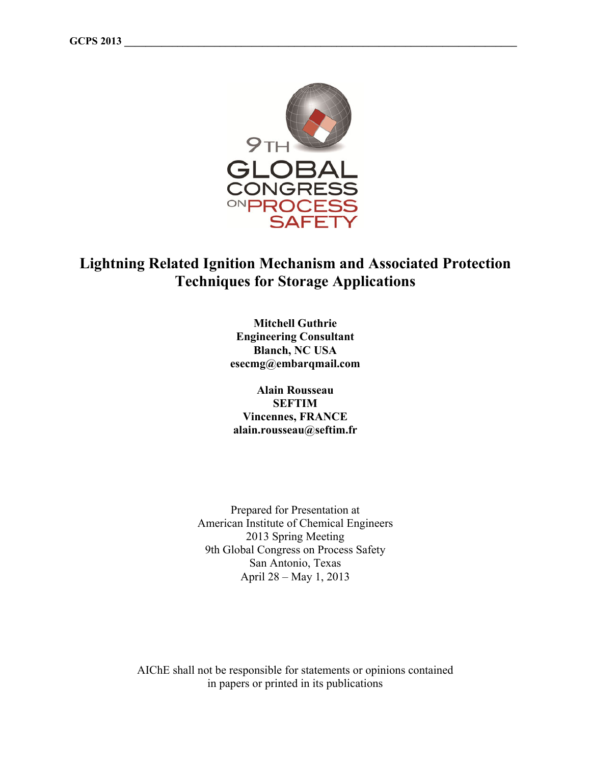

# **Lightning Related Ignition Mechanism and Associated Protection Techniques for Storage Applications**

**Mitchell Guthrie Engineering Consultant Blanch, NC USA esecmg@embarqmail.com** 

**Alain Rousseau SEFTIM Vincennes, FRANCE alain.rousseau@seftim.fr** 

Prepared for Presentation at American Institute of Chemical Engineers 2013 Spring Meeting 9th Global Congress on Process Safety San Antonio, Texas April 28 – May 1, 2013

AIChE shall not be responsible for statements or opinions contained in papers or printed in its publications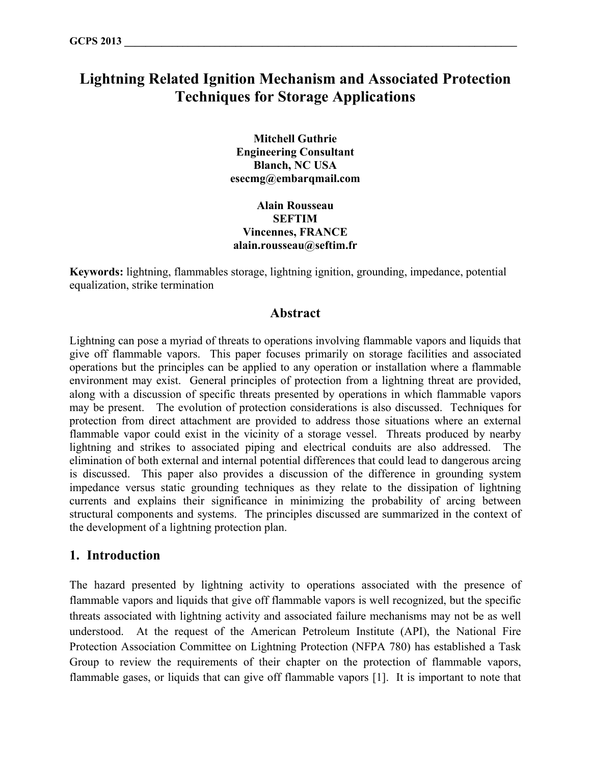# **Lightning Related Ignition Mechanism and Associated Protection Techniques for Storage Applications**

**Mitchell Guthrie Engineering Consultant Blanch, NC USA esecmg@embarqmail.com** 

#### **Alain Rousseau SEFTIM Vincennes, FRANCE alain.rousseau@seftim.fr**

**Keywords:** lightning, flammables storage, lightning ignition, grounding, impedance, potential equalization, strike termination

# **Abstract**

Lightning can pose a myriad of threats to operations involving flammable vapors and liquids that give off flammable vapors. This paper focuses primarily on storage facilities and associated operations but the principles can be applied to any operation or installation where a flammable environment may exist. General principles of protection from a lightning threat are provided, along with a discussion of specific threats presented by operations in which flammable vapors may be present. The evolution of protection considerations is also discussed. Techniques for protection from direct attachment are provided to address those situations where an external flammable vapor could exist in the vicinity of a storage vessel. Threats produced by nearby lightning and strikes to associated piping and electrical conduits are also addressed. The elimination of both external and internal potential differences that could lead to dangerous arcing is discussed. This paper also provides a discussion of the difference in grounding system impedance versus static grounding techniques as they relate to the dissipation of lightning currents and explains their significance in minimizing the probability of arcing between structural components and systems. The principles discussed are summarized in the context of the development of a lightning protection plan.

# **1. Introduction**

The hazard presented by lightning activity to operations associated with the presence of flammable vapors and liquids that give off flammable vapors is well recognized, but the specific threats associated with lightning activity and associated failure mechanisms may not be as well understood. At the request of the American Petroleum Institute (API), the National Fire Protection Association Committee on Lightning Protection (NFPA 780) has established a Task Group to review the requirements of their chapter on the protection of flammable vapors, flammable gases, or liquids that can give off flammable vapors [1]. It is important to note that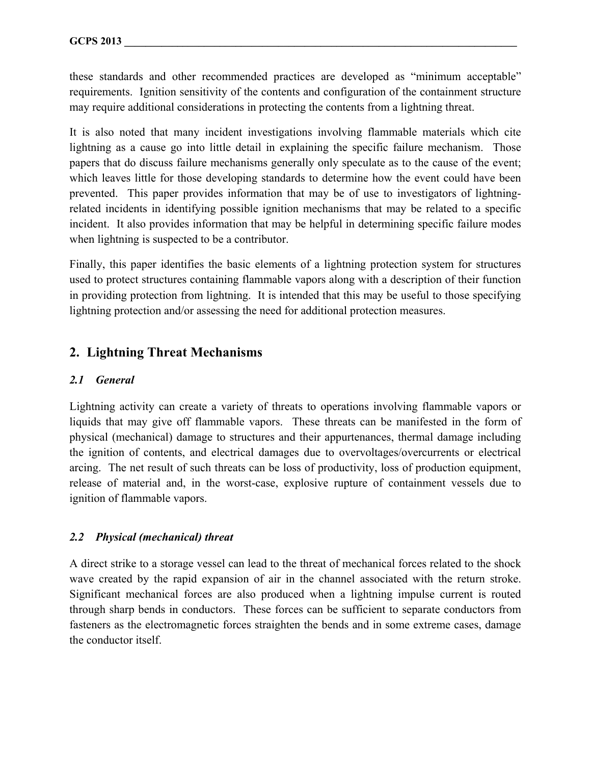these standards and other recommended practices are developed as "minimum acceptable" requirements. Ignition sensitivity of the contents and configuration of the containment structure may require additional considerations in protecting the contents from a lightning threat.

It is also noted that many incident investigations involving flammable materials which cite lightning as a cause go into little detail in explaining the specific failure mechanism. Those papers that do discuss failure mechanisms generally only speculate as to the cause of the event; which leaves little for those developing standards to determine how the event could have been prevented. This paper provides information that may be of use to investigators of lightningrelated incidents in identifying possible ignition mechanisms that may be related to a specific incident. It also provides information that may be helpful in determining specific failure modes when lightning is suspected to be a contributor.

Finally, this paper identifies the basic elements of a lightning protection system for structures used to protect structures containing flammable vapors along with a description of their function in providing protection from lightning. It is intended that this may be useful to those specifying lightning protection and/or assessing the need for additional protection measures.

# **2. Lightning Threat Mechanisms**

#### *2.1 General*

Lightning activity can create a variety of threats to operations involving flammable vapors or liquids that may give off flammable vapors. These threats can be manifested in the form of physical (mechanical) damage to structures and their appurtenances, thermal damage including the ignition of contents, and electrical damages due to overvoltages/overcurrents or electrical arcing. The net result of such threats can be loss of productivity, loss of production equipment, release of material and, in the worst-case, explosive rupture of containment vessels due to ignition of flammable vapors.

#### *2.2 Physical (mechanical) threat*

A direct strike to a storage vessel can lead to the threat of mechanical forces related to the shock wave created by the rapid expansion of air in the channel associated with the return stroke. Significant mechanical forces are also produced when a lightning impulse current is routed through sharp bends in conductors. These forces can be sufficient to separate conductors from fasteners as the electromagnetic forces straighten the bends and in some extreme cases, damage the conductor itself.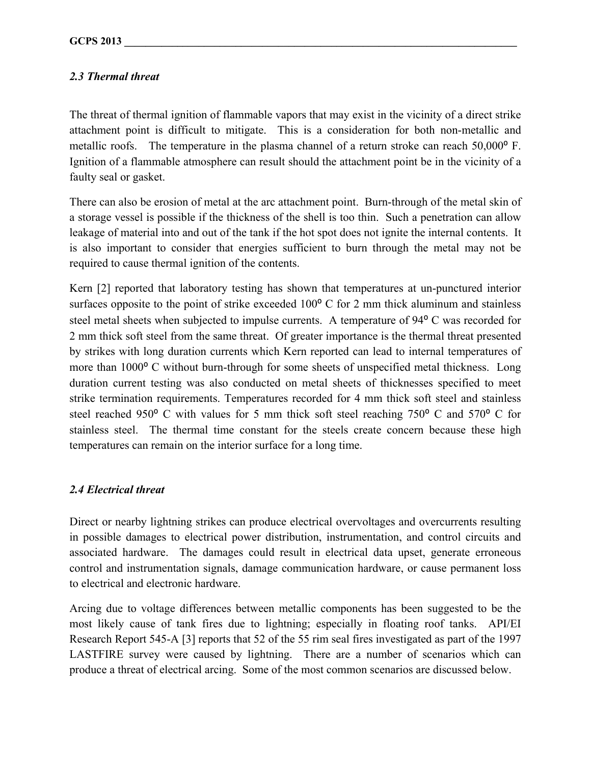#### *2.3 Thermal threat*

The threat of thermal ignition of flammable vapors that may exist in the vicinity of a direct strike attachment point is difficult to mitigate. This is a consideration for both non-metallic and metallic roofs. The temperature in the plasma channel of a return stroke can reach 50,000° F. Ignition of a flammable atmosphere can result should the attachment point be in the vicinity of a faulty seal or gasket.

There can also be erosion of metal at the arc attachment point. Burn-through of the metal skin of a storage vessel is possible if the thickness of the shell is too thin. Such a penetration can allow leakage of material into and out of the tank if the hot spot does not ignite the internal contents. It is also important to consider that energies sufficient to burn through the metal may not be required to cause thermal ignition of the contents.

Kern [2] reported that laboratory testing has shown that temperatures at un-punctured interior surfaces opposite to the point of strike exceeded  $100^{\circ}$  C for 2 mm thick aluminum and stainless steel metal sheets when subjected to impulse currents. A temperature of 94<sup>°</sup> C was recorded for 2 mm thick soft steel from the same threat. Of greater importance is the thermal threat presented by strikes with long duration currents which Kern reported can lead to internal temperatures of more than 1000<sup>°</sup> C without burn-through for some sheets of unspecified metal thickness. Long duration current testing was also conducted on metal sheets of thicknesses specified to meet strike termination requirements. Temperatures recorded for 4 mm thick soft steel and stainless steel reached 950 $\degree$  C with values for 5 mm thick soft steel reaching 750 $\degree$  C and 570 $\degree$  C for stainless steel. The thermal time constant for the steels create concern because these high temperatures can remain on the interior surface for a long time.

#### *2.4 Electrical threat*

Direct or nearby lightning strikes can produce electrical overvoltages and overcurrents resulting in possible damages to electrical power distribution, instrumentation, and control circuits and associated hardware. The damages could result in electrical data upset, generate erroneous control and instrumentation signals, damage communication hardware, or cause permanent loss to electrical and electronic hardware.

Arcing due to voltage differences between metallic components has been suggested to be the most likely cause of tank fires due to lightning; especially in floating roof tanks. API/EI Research Report 545-A [3] reports that 52 of the 55 rim seal fires investigated as part of the 1997 LASTFIRE survey were caused by lightning. There are a number of scenarios which can produce a threat of electrical arcing. Some of the most common scenarios are discussed below.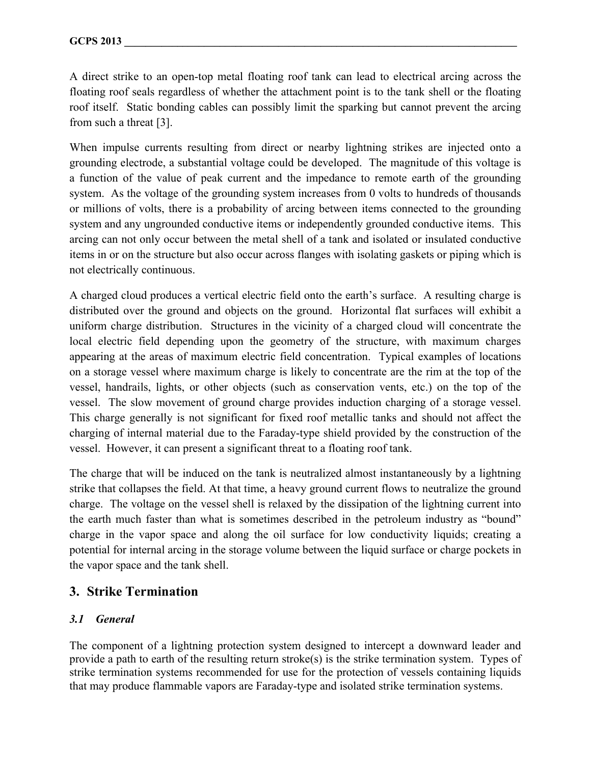A direct strike to an open-top metal floating roof tank can lead to electrical arcing across the floating roof seals regardless of whether the attachment point is to the tank shell or the floating roof itself. Static bonding cables can possibly limit the sparking but cannot prevent the arcing from such a threat [3].

When impulse currents resulting from direct or nearby lightning strikes are injected onto a grounding electrode, a substantial voltage could be developed. The magnitude of this voltage is a function of the value of peak current and the impedance to remote earth of the grounding system. As the voltage of the grounding system increases from 0 volts to hundreds of thousands or millions of volts, there is a probability of arcing between items connected to the grounding system and any ungrounded conductive items or independently grounded conductive items. This arcing can not only occur between the metal shell of a tank and isolated or insulated conductive items in or on the structure but also occur across flanges with isolating gaskets or piping which is not electrically continuous.

A charged cloud produces a vertical electric field onto the earth's surface. A resulting charge is distributed over the ground and objects on the ground. Horizontal flat surfaces will exhibit a uniform charge distribution. Structures in the vicinity of a charged cloud will concentrate the local electric field depending upon the geometry of the structure, with maximum charges appearing at the areas of maximum electric field concentration. Typical examples of locations on a storage vessel where maximum charge is likely to concentrate are the rim at the top of the vessel, handrails, lights, or other objects (such as conservation vents, etc.) on the top of the vessel. The slow movement of ground charge provides induction charging of a storage vessel. This charge generally is not significant for fixed roof metallic tanks and should not affect the charging of internal material due to the Faraday-type shield provided by the construction of the vessel. However, it can present a significant threat to a floating roof tank.

The charge that will be induced on the tank is neutralized almost instantaneously by a lightning strike that collapses the field. At that time, a heavy ground current flows to neutralize the ground charge. The voltage on the vessel shell is relaxed by the dissipation of the lightning current into the earth much faster than what is sometimes described in the petroleum industry as "bound" charge in the vapor space and along the oil surface for low conductivity liquids; creating a potential for internal arcing in the storage volume between the liquid surface or charge pockets in the vapor space and the tank shell.

# **3. Strike Termination**

#### *3.1 General*

The component of a lightning protection system designed to intercept a downward leader and provide a path to earth of the resulting return stroke(s) is the strike termination system. Types of strike termination systems recommended for use for the protection of vessels containing liquids that may produce flammable vapors are Faraday-type and isolated strike termination systems.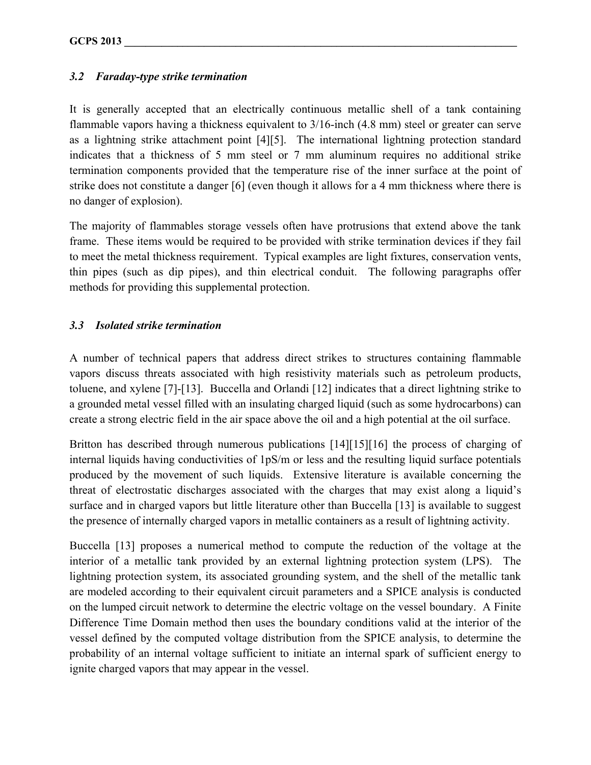#### *3.2 Faraday-type strike termination*

It is generally accepted that an electrically continuous metallic shell of a tank containing flammable vapors having a thickness equivalent to 3/16-inch (4.8 mm) steel or greater can serve as a lightning strike attachment point [4][5]. The international lightning protection standard indicates that a thickness of 5 mm steel or 7 mm aluminum requires no additional strike termination components provided that the temperature rise of the inner surface at the point of strike does not constitute a danger [6] (even though it allows for a 4 mm thickness where there is no danger of explosion).

The majority of flammables storage vessels often have protrusions that extend above the tank frame. These items would be required to be provided with strike termination devices if they fail to meet the metal thickness requirement. Typical examples are light fixtures, conservation vents, thin pipes (such as dip pipes), and thin electrical conduit. The following paragraphs offer methods for providing this supplemental protection.

#### *3.3 Isolated strike termination*

A number of technical papers that address direct strikes to structures containing flammable vapors discuss threats associated with high resistivity materials such as petroleum products, toluene, and xylene [7]-[13]. Buccella and Orlandi [12] indicates that a direct lightning strike to a grounded metal vessel filled with an insulating charged liquid (such as some hydrocarbons) can create a strong electric field in the air space above the oil and a high potential at the oil surface.

Britton has described through numerous publications [14][15][16] the process of charging of internal liquids having conductivities of 1pS/m or less and the resulting liquid surface potentials produced by the movement of such liquids. Extensive literature is available concerning the threat of electrostatic discharges associated with the charges that may exist along a liquid's surface and in charged vapors but little literature other than Buccella [13] is available to suggest the presence of internally charged vapors in metallic containers as a result of lightning activity.

Buccella [13] proposes a numerical method to compute the reduction of the voltage at the interior of a metallic tank provided by an external lightning protection system (LPS). The lightning protection system, its associated grounding system, and the shell of the metallic tank are modeled according to their equivalent circuit parameters and a SPICE analysis is conducted on the lumped circuit network to determine the electric voltage on the vessel boundary. A Finite Difference Time Domain method then uses the boundary conditions valid at the interior of the vessel defined by the computed voltage distribution from the SPICE analysis, to determine the probability of an internal voltage sufficient to initiate an internal spark of sufficient energy to ignite charged vapors that may appear in the vessel.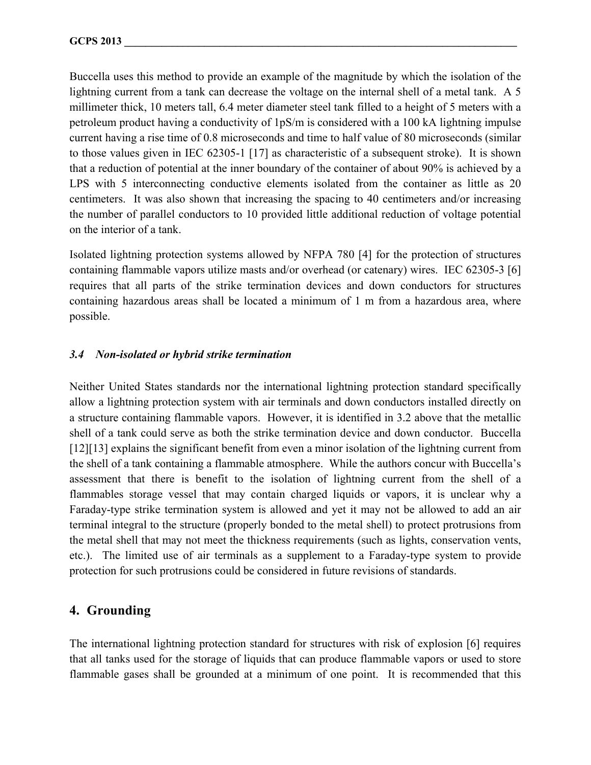Buccella uses this method to provide an example of the magnitude by which the isolation of the lightning current from a tank can decrease the voltage on the internal shell of a metal tank. A 5 millimeter thick, 10 meters tall, 6.4 meter diameter steel tank filled to a height of 5 meters with a petroleum product having a conductivity of 1pS/m is considered with a 100 kA lightning impulse current having a rise time of 0.8 microseconds and time to half value of 80 microseconds (similar to those values given in IEC 62305-1 [17] as characteristic of a subsequent stroke). It is shown that a reduction of potential at the inner boundary of the container of about 90% is achieved by a LPS with 5 interconnecting conductive elements isolated from the container as little as 20 centimeters. It was also shown that increasing the spacing to 40 centimeters and/or increasing the number of parallel conductors to 10 provided little additional reduction of voltage potential on the interior of a tank.

Isolated lightning protection systems allowed by NFPA 780 [4] for the protection of structures containing flammable vapors utilize masts and/or overhead (or catenary) wires. IEC 62305-3 [6] requires that all parts of the strike termination devices and down conductors for structures containing hazardous areas shall be located a minimum of 1 m from a hazardous area, where possible.

#### *3.4 Non-isolated or hybrid strike termination*

Neither United States standards nor the international lightning protection standard specifically allow a lightning protection system with air terminals and down conductors installed directly on a structure containing flammable vapors. However, it is identified in 3.2 above that the metallic shell of a tank could serve as both the strike termination device and down conductor. Buccella [12][13] explains the significant benefit from even a minor isolation of the lightning current from the shell of a tank containing a flammable atmosphere. While the authors concur with Buccella's assessment that there is benefit to the isolation of lightning current from the shell of a flammables storage vessel that may contain charged liquids or vapors, it is unclear why a Faraday-type strike termination system is allowed and yet it may not be allowed to add an air terminal integral to the structure (properly bonded to the metal shell) to protect protrusions from the metal shell that may not meet the thickness requirements (such as lights, conservation vents, etc.). The limited use of air terminals as a supplement to a Faraday-type system to provide protection for such protrusions could be considered in future revisions of standards.

# **4. Grounding**

The international lightning protection standard for structures with risk of explosion [6] requires that all tanks used for the storage of liquids that can produce flammable vapors or used to store flammable gases shall be grounded at a minimum of one point. It is recommended that this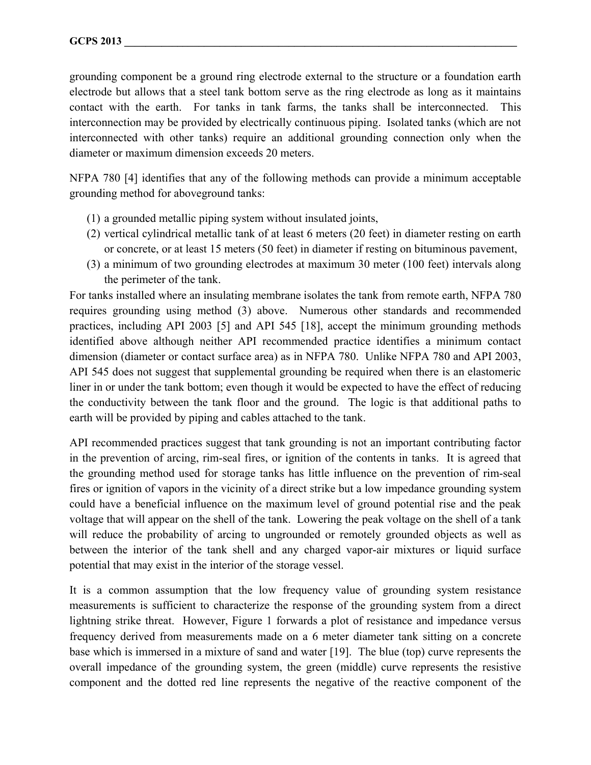grounding component be a ground ring electrode external to the structure or a foundation earth electrode but allows that a steel tank bottom serve as the ring electrode as long as it maintains contact with the earth. For tanks in tank farms, the tanks shall be interconnected. This interconnection may be provided by electrically continuous piping. Isolated tanks (which are not interconnected with other tanks) require an additional grounding connection only when the diameter or maximum dimension exceeds 20 meters.

NFPA 780 [4] identifies that any of the following methods can provide a minimum acceptable grounding method for aboveground tanks:

- (1) a grounded metallic piping system without insulated joints,
- (2) vertical cylindrical metallic tank of at least 6 meters (20 feet) in diameter resting on earth or concrete, or at least 15 meters (50 feet) in diameter if resting on bituminous pavement,
- (3) a minimum of two grounding electrodes at maximum 30 meter (100 feet) intervals along the perimeter of the tank.

For tanks installed where an insulating membrane isolates the tank from remote earth, NFPA 780 requires grounding using method (3) above. Numerous other standards and recommended practices, including API 2003 [5] and API 545 [18], accept the minimum grounding methods identified above although neither API recommended practice identifies a minimum contact dimension (diameter or contact surface area) as in NFPA 780. Unlike NFPA 780 and API 2003, API 545 does not suggest that supplemental grounding be required when there is an elastomeric liner in or under the tank bottom; even though it would be expected to have the effect of reducing the conductivity between the tank floor and the ground. The logic is that additional paths to earth will be provided by piping and cables attached to the tank.

API recommended practices suggest that tank grounding is not an important contributing factor in the prevention of arcing, rim-seal fires, or ignition of the contents in tanks. It is agreed that the grounding method used for storage tanks has little influence on the prevention of rim-seal fires or ignition of vapors in the vicinity of a direct strike but a low impedance grounding system could have a beneficial influence on the maximum level of ground potential rise and the peak voltage that will appear on the shell of the tank. Lowering the peak voltage on the shell of a tank will reduce the probability of arcing to ungrounded or remotely grounded objects as well as between the interior of the tank shell and any charged vapor-air mixtures or liquid surface potential that may exist in the interior of the storage vessel.

It is a common assumption that the low frequency value of grounding system resistance measurements is sufficient to characterize the response of the grounding system from a direct lightning strike threat. However, Figure 1 forwards a plot of resistance and impedance versus frequency derived from measurements made on a 6 meter diameter tank sitting on a concrete base which is immersed in a mixture of sand and water [19]. The blue (top) curve represents the overall impedance of the grounding system, the green (middle) curve represents the resistive component and the dotted red line represents the negative of the reactive component of the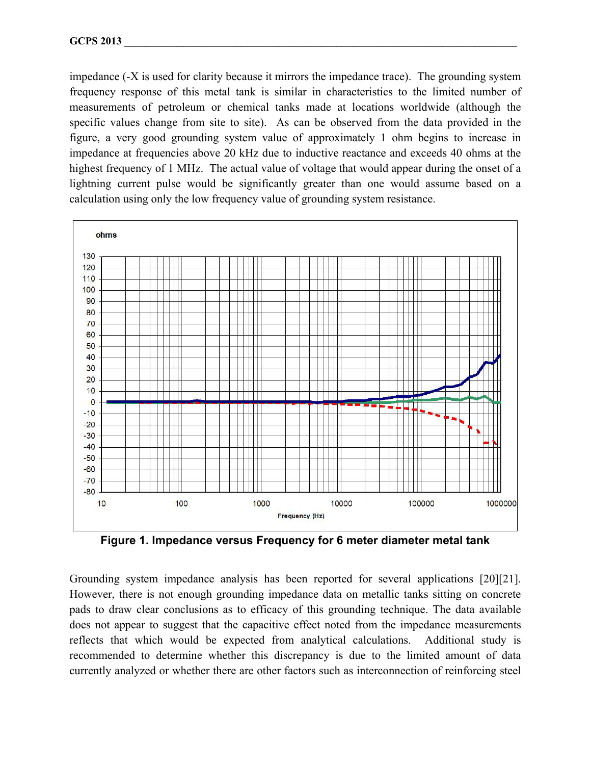impedance (-X is used for clarity because it mirrors the impedance trace). The grounding system frequency response of this metal tank is similar in characteristics to the limited number of measurements of petroleum or chemical tanks made at locations worldwide (although the specific values change from site to site). As can be observed from the data provided in the figure, a very good grounding system value of approximately 1 ohm begins to increase in impedance at frequencies above 20 kHz due to inductive reactance and exceeds 40 ohms at the highest frequency of 1 MHz. The actual value of voltage that would appear during the onset of a lightning current pulse would be significantly greater than one would assume based on a calculation using only the low frequency value of grounding system resistance.



**Figure 1. Impedance versus Frequency for 6 meter diameter metal tank** 

Grounding system impedance analysis has been reported for several applications [20][21]. However, there is not enough grounding impedance data on metallic tanks sitting on concrete pads to draw clear conclusions as to efficacy of this grounding technique. The data available does not appear to suggest that the capacitive effect noted from the impedance measurements reflects that which would be expected from analytical calculations. Additional study is recommended to determine whether this discrepancy is due to the limited amount of data currently analyzed or whether there are other factors such as interconnection of reinforcing steel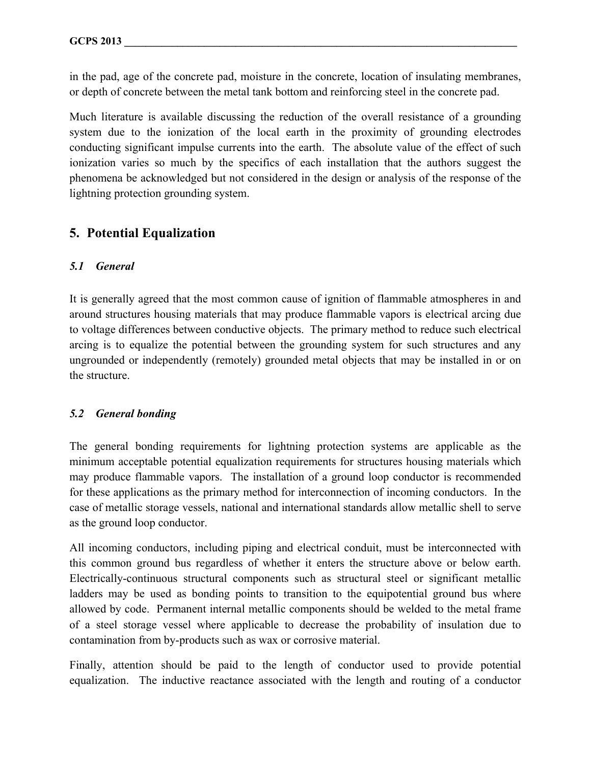in the pad, age of the concrete pad, moisture in the concrete, location of insulating membranes, or depth of concrete between the metal tank bottom and reinforcing steel in the concrete pad.

Much literature is available discussing the reduction of the overall resistance of a grounding system due to the ionization of the local earth in the proximity of grounding electrodes conducting significant impulse currents into the earth. The absolute value of the effect of such ionization varies so much by the specifics of each installation that the authors suggest the phenomena be acknowledged but not considered in the design or analysis of the response of the lightning protection grounding system.

# **5. Potential Equalization**

#### *5.1 General*

It is generally agreed that the most common cause of ignition of flammable atmospheres in and around structures housing materials that may produce flammable vapors is electrical arcing due to voltage differences between conductive objects. The primary method to reduce such electrical arcing is to equalize the potential between the grounding system for such structures and any ungrounded or independently (remotely) grounded metal objects that may be installed in or on the structure.

#### *5.2 General bonding*

The general bonding requirements for lightning protection systems are applicable as the minimum acceptable potential equalization requirements for structures housing materials which may produce flammable vapors. The installation of a ground loop conductor is recommended for these applications as the primary method for interconnection of incoming conductors. In the case of metallic storage vessels, national and international standards allow metallic shell to serve as the ground loop conductor.

All incoming conductors, including piping and electrical conduit, must be interconnected with this common ground bus regardless of whether it enters the structure above or below earth. Electrically-continuous structural components such as structural steel or significant metallic ladders may be used as bonding points to transition to the equipotential ground bus where allowed by code. Permanent internal metallic components should be welded to the metal frame of a steel storage vessel where applicable to decrease the probability of insulation due to contamination from by-products such as wax or corrosive material.

Finally, attention should be paid to the length of conductor used to provide potential equalization. The inductive reactance associated with the length and routing of a conductor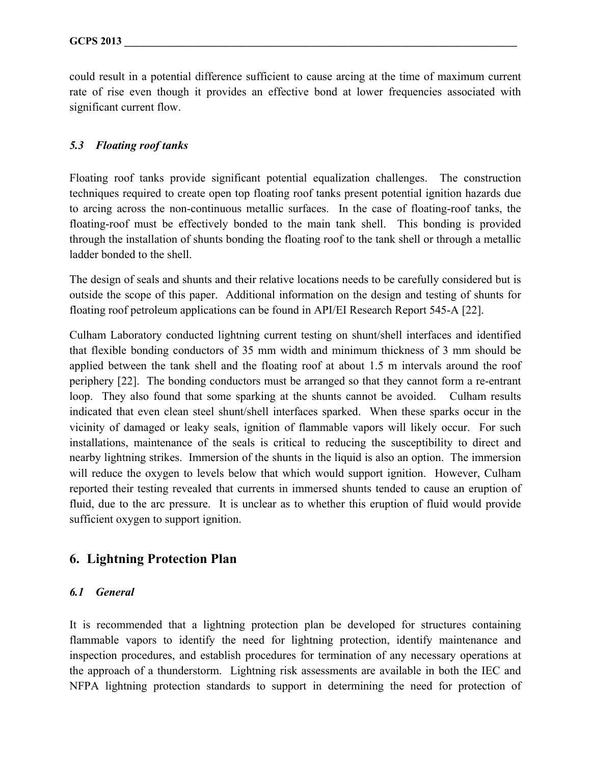could result in a potential difference sufficient to cause arcing at the time of maximum current rate of rise even though it provides an effective bond at lower frequencies associated with significant current flow.

#### *5.3 Floating roof tanks*

Floating roof tanks provide significant potential equalization challenges. The construction techniques required to create open top floating roof tanks present potential ignition hazards due to arcing across the non-continuous metallic surfaces. In the case of floating-roof tanks, the floating-roof must be effectively bonded to the main tank shell. This bonding is provided through the installation of shunts bonding the floating roof to the tank shell or through a metallic ladder bonded to the shell.

The design of seals and shunts and their relative locations needs to be carefully considered but is outside the scope of this paper. Additional information on the design and testing of shunts for floating roof petroleum applications can be found in API/EI Research Report 545-A [22].

Culham Laboratory conducted lightning current testing on shunt/shell interfaces and identified that flexible bonding conductors of 35 mm width and minimum thickness of 3 mm should be applied between the tank shell and the floating roof at about 1.5 m intervals around the roof periphery [22]. The bonding conductors must be arranged so that they cannot form a re-entrant loop. They also found that some sparking at the shunts cannot be avoided. Culham results indicated that even clean steel shunt/shell interfaces sparked. When these sparks occur in the vicinity of damaged or leaky seals, ignition of flammable vapors will likely occur. For such installations, maintenance of the seals is critical to reducing the susceptibility to direct and nearby lightning strikes. Immersion of the shunts in the liquid is also an option. The immersion will reduce the oxygen to levels below that which would support ignition. However, Culham reported their testing revealed that currents in immersed shunts tended to cause an eruption of fluid, due to the arc pressure. It is unclear as to whether this eruption of fluid would provide sufficient oxygen to support ignition.

# **6. Lightning Protection Plan**

#### *6.1 General*

It is recommended that a lightning protection plan be developed for structures containing flammable vapors to identify the need for lightning protection, identify maintenance and inspection procedures, and establish procedures for termination of any necessary operations at the approach of a thunderstorm. Lightning risk assessments are available in both the IEC and NFPA lightning protection standards to support in determining the need for protection of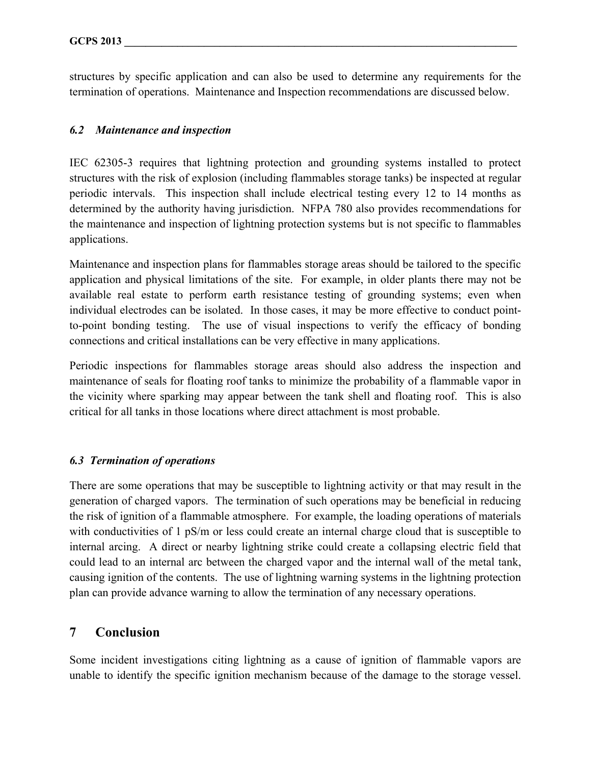structures by specific application and can also be used to determine any requirements for the termination of operations. Maintenance and Inspection recommendations are discussed below.

#### *6.2 Maintenance and inspection*

IEC 62305-3 requires that lightning protection and grounding systems installed to protect structures with the risk of explosion (including flammables storage tanks) be inspected at regular periodic intervals. This inspection shall include electrical testing every 12 to 14 months as determined by the authority having jurisdiction. NFPA 780 also provides recommendations for the maintenance and inspection of lightning protection systems but is not specific to flammables applications.

Maintenance and inspection plans for flammables storage areas should be tailored to the specific application and physical limitations of the site. For example, in older plants there may not be available real estate to perform earth resistance testing of grounding systems; even when individual electrodes can be isolated. In those cases, it may be more effective to conduct pointto-point bonding testing. The use of visual inspections to verify the efficacy of bonding connections and critical installations can be very effective in many applications.

Periodic inspections for flammables storage areas should also address the inspection and maintenance of seals for floating roof tanks to minimize the probability of a flammable vapor in the vicinity where sparking may appear between the tank shell and floating roof. This is also critical for all tanks in those locations where direct attachment is most probable.

#### *6.3 Termination of operations*

There are some operations that may be susceptible to lightning activity or that may result in the generation of charged vapors. The termination of such operations may be beneficial in reducing the risk of ignition of a flammable atmosphere. For example, the loading operations of materials with conductivities of 1 pS/m or less could create an internal charge cloud that is susceptible to internal arcing. A direct or nearby lightning strike could create a collapsing electric field that could lead to an internal arc between the charged vapor and the internal wall of the metal tank, causing ignition of the contents. The use of lightning warning systems in the lightning protection plan can provide advance warning to allow the termination of any necessary operations.

# **7 Conclusion**

Some incident investigations citing lightning as a cause of ignition of flammable vapors are unable to identify the specific ignition mechanism because of the damage to the storage vessel.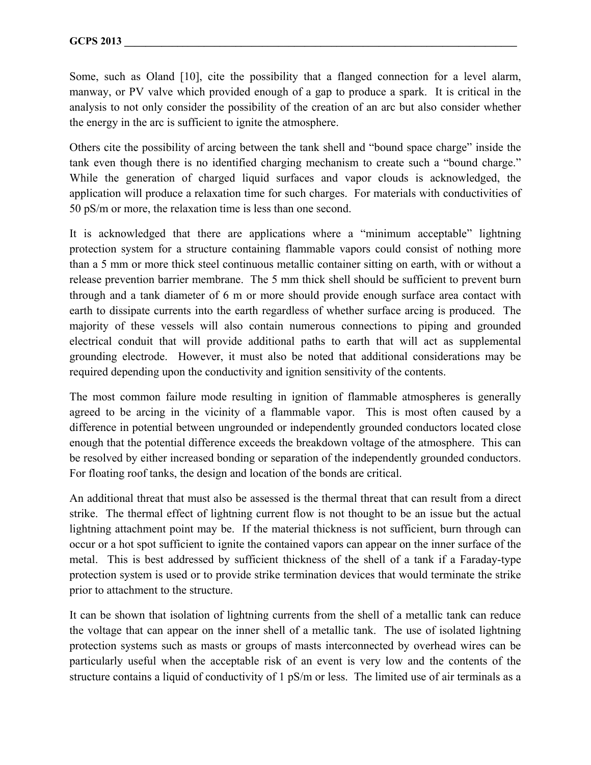Some, such as Oland [10], cite the possibility that a flanged connection for a level alarm, manway, or PV valve which provided enough of a gap to produce a spark. It is critical in the analysis to not only consider the possibility of the creation of an arc but also consider whether the energy in the arc is sufficient to ignite the atmosphere.

Others cite the possibility of arcing between the tank shell and "bound space charge" inside the tank even though there is no identified charging mechanism to create such a "bound charge." While the generation of charged liquid surfaces and vapor clouds is acknowledged, the application will produce a relaxation time for such charges. For materials with conductivities of 50 pS/m or more, the relaxation time is less than one second.

It is acknowledged that there are applications where a "minimum acceptable" lightning protection system for a structure containing flammable vapors could consist of nothing more than a 5 mm or more thick steel continuous metallic container sitting on earth, with or without a release prevention barrier membrane. The 5 mm thick shell should be sufficient to prevent burn through and a tank diameter of 6 m or more should provide enough surface area contact with earth to dissipate currents into the earth regardless of whether surface arcing is produced. The majority of these vessels will also contain numerous connections to piping and grounded electrical conduit that will provide additional paths to earth that will act as supplemental grounding electrode. However, it must also be noted that additional considerations may be required depending upon the conductivity and ignition sensitivity of the contents.

The most common failure mode resulting in ignition of flammable atmospheres is generally agreed to be arcing in the vicinity of a flammable vapor. This is most often caused by a difference in potential between ungrounded or independently grounded conductors located close enough that the potential difference exceeds the breakdown voltage of the atmosphere. This can be resolved by either increased bonding or separation of the independently grounded conductors. For floating roof tanks, the design and location of the bonds are critical.

An additional threat that must also be assessed is the thermal threat that can result from a direct strike. The thermal effect of lightning current flow is not thought to be an issue but the actual lightning attachment point may be. If the material thickness is not sufficient, burn through can occur or a hot spot sufficient to ignite the contained vapors can appear on the inner surface of the metal. This is best addressed by sufficient thickness of the shell of a tank if a Faraday-type protection system is used or to provide strike termination devices that would terminate the strike prior to attachment to the structure.

It can be shown that isolation of lightning currents from the shell of a metallic tank can reduce the voltage that can appear on the inner shell of a metallic tank. The use of isolated lightning protection systems such as masts or groups of masts interconnected by overhead wires can be particularly useful when the acceptable risk of an event is very low and the contents of the structure contains a liquid of conductivity of 1 pS/m or less. The limited use of air terminals as a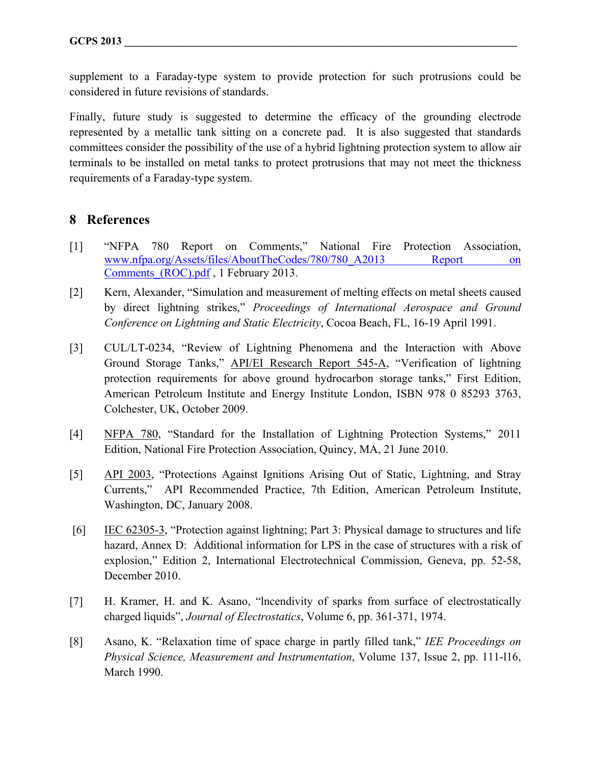supplement to a Faraday-type system to provide protection for such protrusions could be considered in future revisions of standards.

Finally, future study is suggested to determine the efficacy of the grounding electrode represented by a metallic tank sitting on a concrete pad. It is also suggested that standards committees consider the possibility of the use of a hybrid lightning protection system to allow air terminals to be installed on metal tanks to protect protrusions that may not meet the thickness requirements of a Faraday-type system.

# **8 References**

- [1] "NFPA 780 Report on Comments," National Fire Protection Association, www.nfpa.org/Assets/files/AboutTheCodes/780/780\_A2013 Report on Comments (ROC).pdf, 1 February 2013.
- [2] Kern, Alexander, "Simulation and measurement of melting effects on metal sheets caused by direct lightning strikes," *Proceedings of International Aerospace and Ground Conference on Lightning and Static Electricity*, Cocoa Beach, FL, 16-19 April 1991.
- [3] CUL/LT-0234, "Review of Lightning Phenomena and the Interaction with Above Ground Storage Tanks," API/EI Research Report 545-A, "Verification of lightning protection requirements for above ground hydrocarbon storage tanks," First Edition, American Petroleum Institute and Energy Institute London, ISBN 978 0 85293 3763, Colchester, UK, October 2009.
- [4] NFPA 780, "Standard for the Installation of Lightning Protection Systems," 2011 Edition, National Fire Protection Association, Quincy, MA, 21 June 2010.
- [5] API 2003, "Protections Against Ignitions Arising Out of Static, Lightning, and Stray Currents," API Recommended Practice, 7th Edition, American Petroleum Institute, Washington, DC, January 2008.
- [6] IEC 62305-3, "Protection against lightning; Part 3: Physical damage to structures and life hazard, Annex D: Additional information for LPS in the case of structures with a risk of explosion," Edition 2, International Electrotechnical Commission, Geneva, pp. 52-58, December 2010.
- [7] H. Kramer, H. and K. Asano, "lncendivity of sparks from surface of electrostatically charged liquids", *Journal of Electrostatics*, Volume 6, pp. 361-371, 1974.
- [8] Asano, K. "Relaxation time of space charge in partly filled tank," *IEE Proceedings on Physical Science, Measurement and Instrumentation*, Volume 137, Issue 2, pp. 111-l16, March 1990.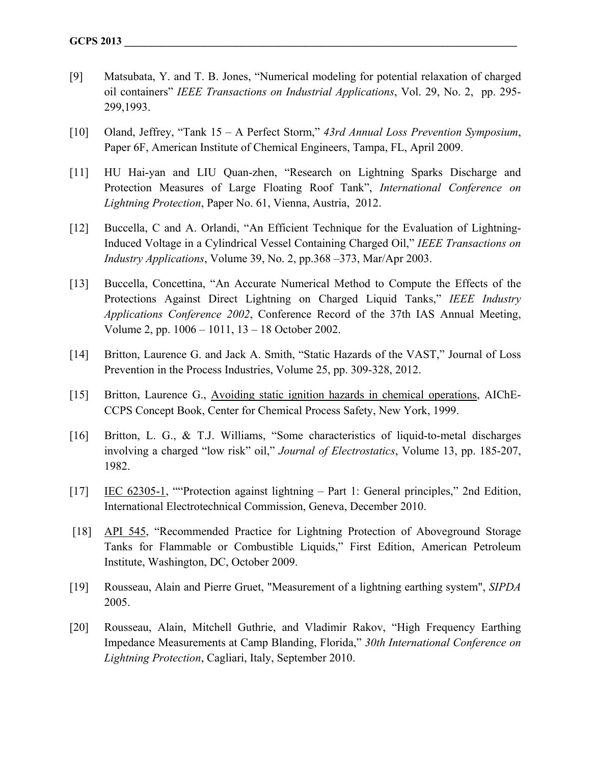- [9] Matsubata, Y. and T. B. Jones, "Numerical modeling for potential relaxation of charged oil containers" *IEEE Transactions on Industrial Applications*, Vol. 29, No. 2, pp. 295- 299,1993.
- [10] Oland, Jeffrey, "Tank 15 A Perfect Storm," *43rd Annual Loss Prevention Symposium*, Paper 6F, American Institute of Chemical Engineers, Tampa, FL, April 2009.
- [11] HU Hai-yan and LIU Quan-zhen, "Research on Lightning Sparks Discharge and Protection Measures of Large Floating Roof Tank", *International Conference on Lightning Protection*, Paper No. 61, Vienna, Austria, 2012.
- [12] Buccella, C and A. Orlandi, "An Efficient Technique for the Evaluation of Lightning-Induced Voltage in a Cylindrical Vessel Containing Charged Oil," *IEEE Transactions on Industry Applications*, Volume 39, No. 2, pp.368 –373, Mar/Apr 2003.
- [13] Buccella, Concettina, "An Accurate Numerical Method to Compute the Effects of the Protections Against Direct Lightning on Charged Liquid Tanks," *IEEE Industry Applications Conference 2002*, Conference Record of the 37th IAS Annual Meeting, Volume 2, pp. 1006 – 1011, 13 – 18 October 2002.
- [14] Britton, Laurence G. and Jack A. Smith, "Static Hazards of the VAST," Journal of Loss Prevention in the Process Industries, Volume 25, pp. 309-328, 2012.
- [15] Britton, Laurence G., Avoiding static ignition hazards in chemical operations, AIChE-CCPS Concept Book, Center for Chemical Process Safety, New York, 1999.
- [16] Britton, L. G., & T.J. Williams, "Some characteristics of liquid-to-metal discharges involving a charged "low risk" oil," *Journal of Electrostatics*, Volume 13, pp. 185-207, 1982.
- [17] IEC 62305-1, ""Protection against lightning Part 1: General principles," 2nd Edition, International Electrotechnical Commission, Geneva, December 2010.
- [18] API 545, "Recommended Practice for Lightning Protection of Aboveground Storage Tanks for Flammable or Combustible Liquids," First Edition, American Petroleum Institute, Washington, DC, October 2009.
- [19] Rousseau, Alain and Pierre Gruet, "Measurement of a lightning earthing system", *SIPDA* 2005.
- [20] Rousseau, Alain, Mitchell Guthrie, and Vladimir Rakov, "High Frequency Earthing Impedance Measurements at Camp Blanding, Florida," *30th International Conference on Lightning Protection*, Cagliari, Italy, September 2010.